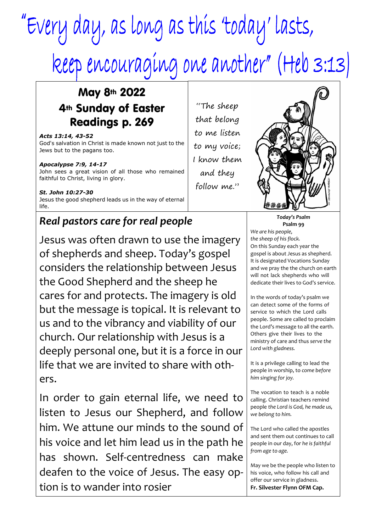# "Every day, as long as this 'today' lasts, keep encouraging one another" (Heb 3:13)

## May 8th 2022 4th Sunday of Easter Readings p. 269

*Acts 13:14, 43-52* God's salvation in Christ is made known not just to the Jews but to the pagans too.

#### *Apocalypse 7:9, 14-17*

John sees a great vision of all those who remained faithful to Christ, living in glory.

*St. John 10:27-30* Jesus the good shepherd leads us in the way of eternal life.

## *Real pastors care for real people*

Jesus was often drawn to use the imagery of shepherds and sheep. Today's gospel considers the relationship between Jesus the Good Shepherd and the sheep he cares for and protects. The imagery is old but the message is topical. It is relevant to us and to the vibrancy and viability of our church. Our relationship with Jesus is a deeply personal one, but it is a force in our life that we are invited to share with others.

In order to gain eternal life, we need to listen to Jesus our Shepherd, and follow him. We attune our minds to the sound of his voice and let him lead us in the path he has shown. Self-centredness can make deafen to the voice of Jesus. The easy option is to wander into rosier

"The sheep that belong to me listen to my voice; I know them and they follow me."



*Today's Psalm* **Psalm 99** *We are his people, the sheep of his flock.* On this Sunday each year the gospel is about Jesus as shepherd. It is designated Vocations Sunday and we pray the the church on earth will not lack shepherds who will dedicate their lives to God's service.

In the words of today's psalm we can detect some of the forms of service to which the Lord calls people. Some are called to proclaim the Lord's message to all the earth. Others give their lives to the ministry of care and thus *serve the Lord with gladness.*

It is a privilege calling to lead the people in worship, to *come before him singing for joy.*

The vocation to teach is a noble calling. Christian teachers remind people *the Lord is God, he made us, we belong to him.*

The Lord who called the apostles and sent them out continues to call people in our day, for *he is faithful from age to age.*

May we be the people who listen to his voice, who follow his call and offer our service in gladness. **Fr. Silvester Flynn OFM Cap.**